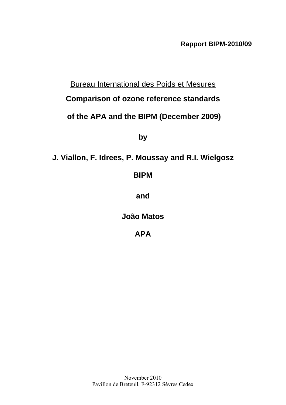**Rapport BIPM-2010/09** 

# Bureau International des Poids et Mesures

# **Comparison of ozone reference standards**

# **of the [APA](#page-1-0) and the BIPM (December 2009)**

**by** 

# **J. Viallon, F. Idrees, P. Moussay and R.I. Wielgosz**

# **BIPM**

**and** 

**[João Matos](#page-1-1)** 

**[APA](#page-1-0)**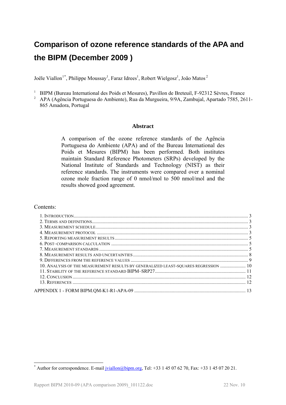# <span id="page-1-0"></span>**Comparison of ozone reference standards of the APA and the BIPM (December 2009 )**

<span id="page-1-1"></span>Joële Viallon<sup>[1](#page-1-2)\*</sup>, Philippe Moussay<sup>1</sup>, Faraz Idrees<sup>1</sup>, Robert Wielgosz<sup>1</sup>, João Matos<sup>2</sup>

- 
- <span id="page-1-3"></span><sup>1</sup> BIPM (Bureau International des Poids et Mesures), Pavillon de Breteuil, F-92312 Sèvres, France<br><sup>2</sup> [APA](#page-1-0) (Agência Portuguesa do Ambiente), Rua da Murgueira, 9/9A, Zambujal, Apartado 7585, 2611-865 Amadora, Portugal

#### **Abstract**

A comparison of the ozone reference standards of the [Agência](#page-1-3)  [Portuguesa do Ambiente](#page-1-3) [\(APA](#page-1-0)) and of the Bureau International des Poids et Mesures (BIPM) has been performed. Both institutes maintain Standard Reference Photometers (SRPs) developed by the National Institute of Standards and Technology (NIST) as their reference standards. The instruments were compared over a nominal ozone mole fraction range of 0 nmol/mol to 500 nmol/mol and the results showed good agreement.

#### Contents:

1

| 10. ANALYSIS OF THE MEASUREMENT RESULTS BY GENERALIZED LEAST-SQUARES REGRESSION  10 |  |
|-------------------------------------------------------------------------------------|--|
|                                                                                     |  |
|                                                                                     |  |
|                                                                                     |  |
|                                                                                     |  |
|                                                                                     |  |

<span id="page-1-2"></span><sup>\*</sup> Author for correspondence. E-mail  $\frac{iviallon(\omega) \text{bipm.org}}{2}$ , Tel: +33 1 45 07 62 70, Fax: +33 1 45 07 20 21.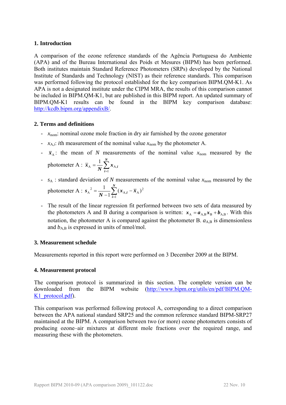#### <span id="page-2-0"></span>**1. Introduction**

A comparison of the ozone reference standards of the [Agência Portuguesa do Ambiente](#page-1-3) ([APA\)](#page-1-0) and of the Bureau International des Poids et Mesures (BIPM) has been performed. Both institutes maintain Standard Reference Photometers (SRPs) developed by the National Institute of Standards and Technology (NIST) as their reference standards. This comparison was performed following the protocol established for the key comparison BIPM.QM-K1. As [APA](#page-1-0) is not a designated institute under the CIPM MRA, the results of this comparison cannot be included in BIPM.QM-K1, but are published in this BIPM report. An updated summary of BIPM.QM-K1 results can be found in the BIPM key comparison database: <http://kcdb.bipm.org/appendixB/>.

#### <span id="page-2-1"></span>**2. Terms and definitions**

- *x*nom: nominal ozone mole fraction in dry air furnished by the ozone generator
- $x_{A,i}$ : *i*th measurement of the nominal value  $x_{\text{nom}}$  by the photometer A.
- $\bar{x}_A$ : the mean of *N* measurements of the nominal value  $x_{\text{nom}}$  measured by the photometer A :  $\bar{x}_A = \frac{1}{N} \sum_{i=1}^{N}$ *N*  $\overline{x}_{A} = \frac{1}{N} \sum_{i=1}^{N} x_{A,i}$ 1  $A = \frac{1}{\mathbf{M}} \sum \mathbf{A} A$ 1
- $s_A$ : standard deviation of *N* measurements of the nominal value  $x_{nom}$  measured by the photometer A :  $s_A^2 = \frac{1}{N-1} \sum_{i=1}^N (x_{A,i} -$ *N i*  $\frac{1}{N-1} \sum_{i=1}^{N} (x_{A,i} - \bar{x})$ *s* 1  $_{\text{A},i}$  –  $\overline{x}_{\text{A}}$ )<sup>2</sup>  $A^{2} = \frac{1}{N-1} \sum_{i=1}^{N} (x_{A,i} - \overline{x}_{A})$
- The result of the linear regression fit performed between two sets of data measured by the photometers A and B during a comparison is written:  $x_A = a_{A,B} x_B + b_{A,B}$ . With this notation, the photometer A is compared against the photometer B.  $a_{A,B}$  is dimensionless and  $b_{A,B}$  is expressed in units of nmol/mol.

#### <span id="page-2-2"></span>**3. Measurement schedule**

Measurements reported in this report were performed on 3 December 2009 at the BIPM.

#### <span id="page-2-3"></span>**4. Measurement protocol**

The comparison protocol is summarized in this section. The complete version can be downloaded from the BIPM website [\(http://www.bipm.org/utils/en/pdf/BIPM.QM-](http://www.bipm.org/utils/en/pdf/BIPM.QM-K1_protocol.pdf)K<sub>1</sub> protocol.pdf).

<span id="page-2-4"></span>This comparison was performed following protocol A, corresponding to a direct comparison between the [APA](#page-1-0) national standard SRP25 and the common reference standard BIPM-SRP27 maintained at the BIPM. A comparison between two (or more) ozone photometers consists of producing ozone–air mixtures at different mole fractions over the required range, and measuring these with the photometers.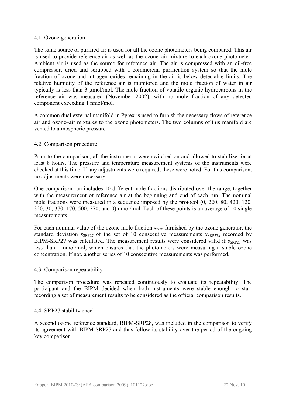#### 4.1. Ozone generation

The same source of purified air is used for all the ozone photometers being compared. This air is used to provide reference air as well as the ozone–air mixture to each ozone photometer. Ambient air is used as the source for reference air. The air is compressed with an oil-free compressor, dried and scrubbed with a commercial purification system so that the mole fraction of ozone and nitrogen oxides remaining in the air is below detectable limits. The relative humidity of the reference air is monitored and the mole fraction of water in air typically is less than 3 μmol/mol. The mole fraction of volatile organic hydrocarbons in the reference air was measured (November 2002), with no mole fraction of any detected component exceeding 1 nmol/mol.

A common dual external manifold in Pyrex is used to furnish the necessary flows of reference air and ozone–air mixtures to the ozone photometers. The two columns of this manifold are vented to atmospheric pressure.

#### 4.2. Comparison procedure

Prior to the comparison, all the instruments were switched on and allowed to stabilize for at least 8 hours. The pressure and temperature measurement systems of the instruments were checked at this time. If any adjustments were required, these were noted. For this comparison, no adjustments were necessary.

One comparison run includes 10 different mole fractions distributed over the range, together with the measurement of reference air at the beginning and end of each run. The nominal mole fractions were measured in a sequence imposed by the protocol (0, 220, 80, 420, 120, 320, 30, 370, 170, 500, 270, and 0) nmol/mol. Each of these points is an average of 10 single measurements.

For each nominal value of the ozone mole fraction  $x_{nom}$  furnished by the ozone generator, the standard deviation  $S_{SRP27}$  of the set of 10 consecutive measurements  $X_{SRP27}$  recorded by BIPM-SRP27 was calculated. The measurement results were considered valid if  $s_{SRP27}$  was less than 1 nmol/mol, which ensures that the photometers were measuring a stable ozone concentration. If not, another series of 10 consecutive measurements was performed.

#### 4.3. Comparison repeatability

The comparison procedure was repeated continuously to evaluate its repeatability. The participant and the BIPM decided when both instruments were stable enough to start recording a set of measurement results to be considered as the official comparison results.

#### 4.4. SRP27 stability check

A second ozone reference standard, BIPM-SRP28, was included in the comparison to verify its agreement with BIPM-SRP27 and thus follow its stability over the period of the ongoing key comparison.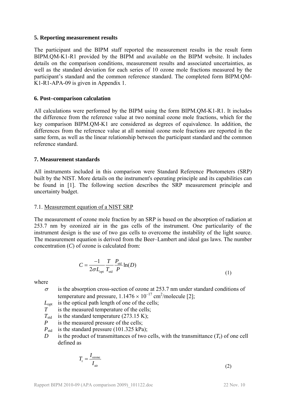#### <span id="page-4-0"></span>**5. Reporting measurement results**

<span id="page-4-3"></span>The participant and the BIPM staff reported the measurement results in the result form BIPM.QM-K1-R1 provided by the BIPM and available on the BIPM website. It includes details on the comparison conditions, measurement results and associated uncertainties, as well as the standard deviation for each series of 10 ozone mole fractions measured by the participant's standard and the common reference standard. The completed form BIPM.QM-K1-R1-APA-09 is given in Appendix 1.

#### <span id="page-4-4"></span><span id="page-4-1"></span>**6. Post–comparison calculation**

All calculations were performed by the BIPM using the form [BIPM.QM-K1-R1.](#page-4-3) It includes the difference from the reference value at two nominal ozone mole fractions, which for the key comparison BIPM.QM-K1 are considered as degrees of equivalence. In addition, the differences from the reference value at all nominal ozone mole fractions are reported in the same form, as well as the linear relationship between the participant standard and the common reference standard.

#### <span id="page-4-2"></span>**7. Measurement standards**

All instruments included in this comparison were Standard Reference Photometers (SRP) built by the NIST. More details on the instrument's operating principle and its capabilities can be found in [1]. The following section describes the SRP measurement principle and uncertainty budget.

#### 7.1. Measurement equation of a NIST SRP

The measurement of ozone mole fraction by an SRP is based on the absorption of radiation at 253.7 nm by ozonized air in the gas cells of the instrument. One particularity of the instrument design is the use of two gas cells to overcome the instability of the light source. The measurement equation is derived from the Beer–Lambert and ideal gas laws. The number concentration (*C*) of ozone is calculated from:

$$
C = \frac{-1}{2\sigma L_{\text{opt}}} \frac{T}{T_{\text{std}}} \frac{P_{\text{std}}}{P} \ln(D)
$$
\n(1)

where

- $\sigma$  is the absorption cross-section of ozone at 253.7 nm under standard conditions of temperature and pressure,  $1.1476 \times 10^{-17}$  cm<sup>2</sup>/molecule [2];
- $L_{\text{opt}}$  is the optical path length of one of the cells;
- *T* is the measured temperature of the cells:
- $T_{std}$  is the standard temperature (273.15 K);
- *P* is the measured pressure of the cells;
- $P_{\text{std}}$  is the standard pressure (101.325 kPa);
- *D* is the product of transmittances of two cells, with the transmittance  $(T_r)$  of one cell defined as

$$
T_{\rm r} = \frac{I_{\rm ozone}}{I_{\rm air}}\tag{2}
$$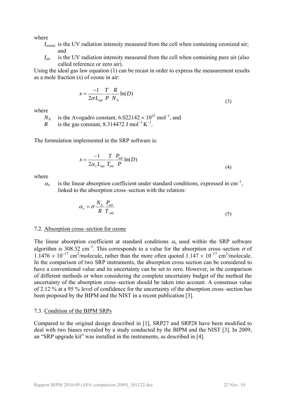where

- *I*ozone is the UV radiation intensity measured from the cell when containing ozonized air; and
- *I*<sub>air</sub> is the UV radiation intensity measured from the cell when containing pure air (also called reference or zero air).

Using the ideal gas law equation (1) can be recast in order to express the measurement results as a mole fraction (*x*) of ozone in air:

$$
x = \frac{-1}{2\sigma L_{\text{opt}}} \frac{T}{P} \frac{R}{N_A} \ln(D)
$$
\n(3)

where

 $N_A$  is the Avogadro constant, 6.022142  $\times 10^{23}$  mol<sup>-1</sup>, and

*R* is the gas constant,  $8.314472$  J mol<sup>-1</sup> K<sup>-1</sup>.

The formulation implemented in the SRP software is:

$$
x = \frac{-1}{2\alpha_x L_{\text{opt}}} \frac{T}{T_{\text{std}}} \frac{P_{\text{std}}}{P} \ln(D)
$$
(4)

where

 $\alpha_{\rm v}$  is the linear absorption coefficient under standard conditions, expressed in cm<sup>-1</sup>, linked to the absorption cross–section with the relation:

$$
\alpha_{\rm x} = \sigma \frac{N_{\rm A}}{R} \frac{P_{\rm std}}{T_{\rm std}} \tag{5}
$$

#### 7.2. Absorption cross–section for ozone

The linear absorption coefficient at standard conditions  $\alpha_x$  used within the SRP software algorithm is 308.32 cm<sup>-1</sup>. This corresponds to a value for the absorption cross–section  $\sigma$  of  $1.1476 \times 10^{-17}$  cm<sup>2</sup>/molecule, rather than the more often quoted  $1.147 \times 10^{-17}$  cm<sup>2</sup>/molecule. In the comparison of two SRP instruments, the absorption cross section can be considered to have a conventional value and its uncertainty can be set to zero. However, in the comparison of different methods or when considering the complete uncertainty budget of the method the uncertainty of the absorption cross–section should be taken into account. A consensus value of 2.12 % at a 95 % level of confidence for the uncertainty of the absorption cross–section has been proposed by the BIPM and the NIST in a recent publication [3].

#### 7.3. Condition of the BIPM SRPs

Compared to the original design described in [1], SRP27 and SRP28 have been modified to deal with two biases revealed by a study conducted by the BIPM and the NIST [3]. In 2009, an "SRP upgrade kit" was installed in the instruments, as described in [4].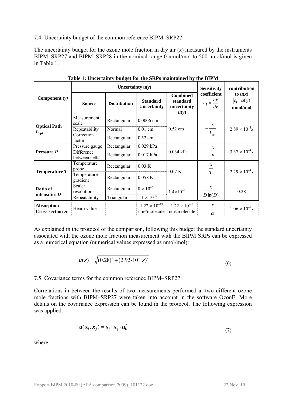#### 7.4. Uncertainty budget of the common reference BIPM–SRP27

The uncertainty budget for the ozone mole fraction in dry air  $(x)$  measured by the instruments BIPM–SRP27 and BIPM–SRP28 in the nominal range 0 nmol/mol to 500 nmol/mol is given in [Table 1.](#page-6-0)

<span id="page-6-0"></span>

|                                             |                             | Uncertainty $u(y)$    |                                                     |                                                     | <b>Sensitivity</b>                                   | contribution                                |
|---------------------------------------------|-----------------------------|-----------------------|-----------------------------------------------------|-----------------------------------------------------|------------------------------------------------------|---------------------------------------------|
| Component $(y)$                             | <b>Source</b>               | <b>Distribution</b>   | <b>Standard</b><br>Uncertainty                      | <b>Combined</b><br>standard<br>uncertainty<br>u(y)  | coefficient<br>$c_i = \frac{\partial x}{\partial y}$ | to $u(x)$<br>$ c_i  \cdot u(y)$<br>nmol/mol |
|                                             | Measurement<br>scale        | Rectangular           | $0.0006$ cm                                         |                                                     |                                                      |                                             |
| <b>Optical Path</b>                         | Repeatability               | Normal                | $0.01$ cm                                           | $0.52$ cm                                           | $-\frac{x}{L_{\text{opt}}}$                          | $2.89 \times 10^{-3}x$                      |
| $L_{\mathrm{opt}}$                          | Correction<br>factor        | Rectangular           | $0.52$ cm                                           |                                                     |                                                      |                                             |
|                                             | Pressure gauge              | Rectangular           | 0.029 kPa                                           |                                                     | $\mathcal{X}$                                        |                                             |
| <b>Pressure P</b>                           | Difference<br>between cells | Rectangular           | $0.017$ kPa                                         | 0.034 kPa                                           | $\boldsymbol{P}$                                     | $3.37 \times 10^{-4}x$                      |
| Temperature $T$                             | Temperature<br>probe        | Rectangular           | 0.03 K                                              | 0.07K                                               | $\mathcal{X}$<br>$\overline{T}$                      | $2.29 \times 10^{-4}x$                      |
|                                             | Temperature<br>gradient     | 0.058K<br>Rectangular |                                                     |                                                     |                                                      |                                             |
| Ratio of<br>intensities $D$                 | Scaler<br>resolution        | Rectangular           | $8 \times 10^{-6}$                                  | $1.4 \times 10^{-5}$                                | $\mathcal{X}$                                        | 0.28                                        |
|                                             | Repeatability               | Triangular            | $1.1 \times 10^{-5}$                                |                                                     | $D\ln(D)$                                            |                                             |
| <b>Absorption</b><br>Cross section $\sigma$ | Hearn value                 |                       | $1.22 \times 10^{-19}$<br>cm <sup>2</sup> /molecule | $1.22 \times 10^{-19}$<br>cm <sup>2</sup> /molecule | $\mathcal{X}$<br>$\alpha$                            | $1.06 \times 10^{-2}x$                      |

**Table 1: Uncertainty budget for the SRPs maintained by the BIPM** 

As explained in the protocol of the comparison, following this budget the standard uncertainty associated with the ozone mole fraction measurement with the BIPM SRPs can be expressed as a numerical equation (numerical values expressed as nmol/mol):

$$
u(x) = \sqrt{(0.28)^2 + (2.92 \cdot 10^{-3} x)^2}
$$
 (6)

#### 7.5. Covariance terms for the common reference BIPM–SRP27

Correlations in between the results of two measurements performed at two different ozone mole fractions with BIPM–SRP27 were taken into account in the software OzonE. More details on the covariance expression can be found in the protocol. The following expression was applied:

$$
\boldsymbol{u}(\boldsymbol{x}_i, \boldsymbol{x}_j) = \boldsymbol{x}_i \cdot \boldsymbol{x}_j \cdot \boldsymbol{u}_b^2 \tag{7}
$$

where: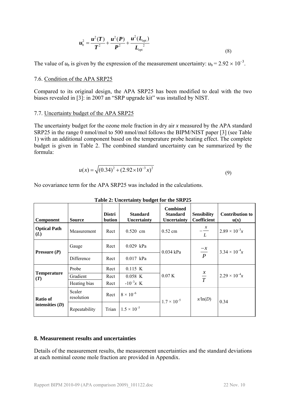$$
u_{\rm b}^2 = \frac{u^2(T)}{T^2} + \frac{u^2(P)}{P^2} + \frac{u^2(L_{\rm opt})}{L_{\rm opt}^2}
$$
\n(8)

The value of  $u<sub>b</sub>$  is given by the expression of the measurement uncertainty:  $u<sub>b</sub> = 2.92 \times 10^{-3}$ .

#### 7.6. Condition of the [APA](#page-1-0) [SRP25](#page-2-4)

Compared to its original design, the [APA](#page-1-0) [SRP25](#page-2-4) has been modified to deal with the two biases revealed in [3]: in 2007 an "SRP upgrade kit" was installed by NIST.

#### 7.7. Uncertainty budget of the [APA](#page-1-0) [SRP25](#page-2-4)

The uncertainty budget for the ozone mole fraction in dry air *x* measured by the [APA](#page-1-0) standard [SRP25](#page-2-4) in the range 0 nmol/mol to 500 nmol/mol follows the BIPM/NIST paper [3] (see [Table](#page-6-0)  [1\)](#page-6-0) with an additional component based on the temperature probe heating effect. The complete budget is given in [Table 2.](#page-7-1) The combined standard uncertainty can be summarized by the formula:

$$
u(x) = \sqrt{(0.34)^2 + (2.92 \times 10^{-3} x)^2}
$$
\n(9)

No covariance term for the [APA](#page-1-0) [SRP25](#page-2-4) was included in the calculations.

<span id="page-7-1"></span>

| Component                  | <b>Source</b>        | <b>Distri</b><br>bution | <b>Standard</b><br>Uncertainty | <b>Combined</b><br><b>Standard</b><br>Uncertainty | <b>Sensibility</b><br>Coefficient | <b>Contribution to</b><br>$\mathbf{u}(\mathbf{x})$ |
|----------------------------|----------------------|-------------------------|--------------------------------|---------------------------------------------------|-----------------------------------|----------------------------------------------------|
| <b>Optical Path</b><br>(L) | Measurement          | Rect                    | $0.520$ cm                     | $0.52$ cm                                         | $-\frac{x}{L}$                    | $2.89 \times 10^{-3}x$                             |
| Pressure $(P)$             | Gauge                | Rect                    | $0.029$ kPa                    | $0.034$ kPa                                       |                                   | $3.34 \times 10^{-4}x$                             |
|                            | Difference           | Rect                    | $0.017$ kPa                    |                                                   | $\frac{-x}{P}$                    |                                                    |
|                            | Probe                | Rect                    | 0.115 K                        |                                                   |                                   |                                                    |
| <b>Temperature</b><br>(T)  | Gradient             | Rect                    | $0.058$ K                      | 0.07K                                             | $rac{x}{T}$                       | $2.29 \times 10^{-4}x$                             |
|                            | Heating bias         | Rect                    | $-10^{-3}x$ K                  |                                                   |                                   |                                                    |
| Ratio of                   | Scaler<br>resolution | Rect                    | $8 \times 10^{-6}$             | $1.7 \times 10^{-5}$                              | $x/\ln(D)$                        | 0.34                                               |
| intensities $(D)$          | Repeatability        | Trian                   | $1.5 \times 10^{-5}$           |                                                   |                                   |                                                    |

**Table 2: Uncertainty budget for the [SRP25](#page-2-4)** 

#### <span id="page-7-0"></span>**8. Measurement results and uncertainties**

Details of the measurement results, the measurement uncertainties and the standard deviations at each nominal ozone mole fraction are provided in Appendix.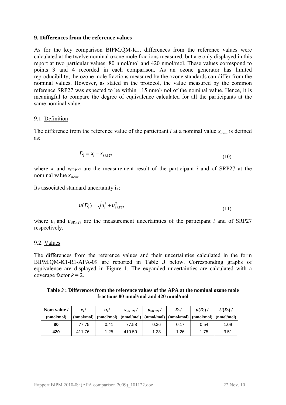#### <span id="page-8-0"></span>**9. Differences from the reference values**

As for the key comparison BIPM.QM-K1, differences from the reference values were calculated at the twelve nominal ozone mole fractions measured, but are only displayed in this report at two particular values: 80 nmol/mol and 420 nmol/mol. These values correspond to points 3 and 4 recorded in each comparison. As an ozone generator has limited reproducibility, the ozone mole fractions measured by the ozone standards can differ from the nominal values. However, as stated in the protocol, the value measured by the common reference SRP27 was expected to be within  $\pm 15$  nmol/mol of the nominal value. Hence, it is meaningful to compare the degree of equivalence calculated for all the participants at the same nominal value.

#### 9.1. Definition

The difference from the reference value of the participant  $i$  at a nominal value  $x_{\text{nom}}$  is defined as:

$$
D_i = x_i - x_{\text{SRP27}} \tag{10}
$$

where  $x_i$  and  $x_{SRP27}$  are the measurement result of the participant *i* and of SRP27 at the nominal value  $x_{\text{nom}}$ .

Its associated standard uncertainty is:

$$
u(D_i) = \sqrt{u_i^2 + u_{SRP27}^2}
$$
 (11)

where  $u_i$  and  $u_{SRP27}$  are the measurement uncertainties of the participant *i* and of SRP27 respectively.

#### 9.2. Values

The differences from the reference values and their uncertainties calculated in the form [BIPM.QM-K1-R1-APA-09](#page-4-4) are reported in [Table](#page-8-1) *3* below. Corresponding graphs of equivalence are displayed in [Figure 1.](#page-9-1) The expanded uncertainties are calculated with a coverage factor  $k = 2$ .

#### **Table** *3* **: Differences from the reference values of the [APA](#page-1-0) at the nominal ozone mole fractions 80 nmol/mol and 420 nmol/mol**

<span id="page-8-1"></span>

| Nom value / | $x_i$ /    | $u_i$ | $x_{\text{SRP27}}$                                                                   | $u_{\rm SRP27}$ / | $D_i/$ | $u(D_i)$ | $U(D_i)$ / |
|-------------|------------|-------|--------------------------------------------------------------------------------------|-------------------|--------|----------|------------|
| (nmol/mol)  | (mmol/mol) |       | $\pmod{mod}$ (nmol/mol) $\pmod{mod}$ (nmol/mol) $\pmod{mod}$ (nmol/mol) $\pmod{mod}$ |                   |        |          |            |
| 80          | 77.75      | 0.41  | 77.58                                                                                | 0.36              | 0.17   | 0.54     | 1.09       |
| 420         | 411.76     | 1.25  | 410.50                                                                               | 1.23              | 1.26   | 1.75     | 3.51       |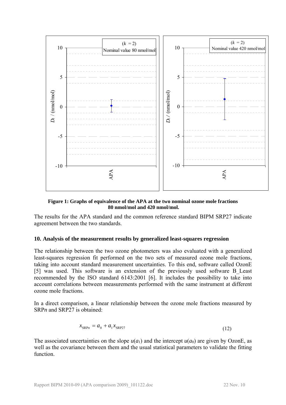

**Figure 1: Graphs of equivalence of the [APA](#page-1-0) at the two nominal ozone mole fractions 80 nmol/mol and 420 nmol/mol.** 

<span id="page-9-1"></span>The results for the [APA](#page-1-0) standard and the common reference standard BIPM SRP27 indicate agreement between the two standards.

#### <span id="page-9-0"></span>**10. Analysis of the measurement results by generalized least-squares regression**

The relationship between the two ozone photometers was also evaluated with a generalized least-squares regression fit performed on the two sets of measured ozone mole fractions, taking into account standard measurement uncertainties. To this end, software called OzonE [5] was used. This software is an extension of the previously used software B\_Least recommended by the ISO standard 6143:2001 [6]. It includes the possibility to take into account correlations between measurements performed with the same instrument at different ozone mole fractions.

In a direct comparison, a linear relationship between the ozone mole fractions measured by SRP<sub>n</sub> and SRP<sub>27</sub> is obtained:

$$
x_{\text{SRP}n} = a_0 + a_1 x_{\text{SRP}27} \tag{12}
$$

The associated uncertainties on the slope  $u(a_1)$  and the intercept  $u(a_0)$  are given by OzonE, as well as the covariance between them and the usual statistical parameters to validate the fitting function.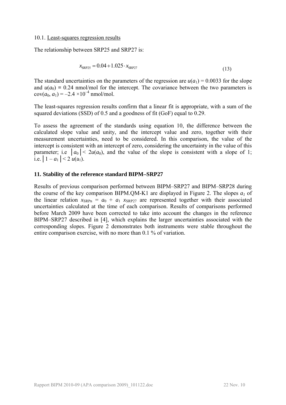#### 10.1. Least-squares regression results

The relationship between [SRP25](#page-2-4) and SRP27 is:

$$
x_{\text{SRP25}} = 0.04 + 1.025 \cdot x_{\text{SRP27}} \tag{13}
$$

The standard uncertainties on the parameters of the regression are  $u(a_1) = 0.0033$  for the slope and  $u(a_0) = 0.24$  nmol/mol for the intercept. The covariance between the two parameters is  $cov(a_0, a_1) = -2.4 \times 10^{-4}$  nmol/mol.

The least-squares regression results confirm that a linear fit is appropriate, with a sum of the squared deviations (SSD) of 0.5 and a goodness of fit (GoF) equal to 0.29.

To assess the agreement of the standards using equation 10, the difference between the calculated slope value and unity, and the intercept value and zero, together with their measurement uncertainties, need to be considered. In this comparison, the value of the intercept is consistent with an intercept of zero, considering the uncertainty in the value of this parameter; i.e  $|a_0| < 2u(a_0)$ , and the value of the slope is consistent with a slope of 1; i.e.  $|1 - a_1| < 2 u(a_1)$ .

#### <span id="page-10-0"></span>**11. Stability of the reference standard BIPM–SRP27**

Results of previous comparison performed between BIPM–SRP27 and BIPM–SRP28 during the course of the key comparison BIPM.QM-K1 are displayed in [Figure 2.](#page-11-2) The slopes  $a_1$  of the linear relation  $x_{SRPn} = a_0 + a_1 x_{SRP27}$  are represented together with their associated uncertainties calculated at the time of each comparison. Results of comparisons performed before March 2009 have been corrected to take into account the changes in the reference BIPM–SRP27 described in [4], which explains the larger uncertainties associated with the corresponding slopes. [Figure 2](#page-11-2) demonstrates both instruments were stable throughout the entire comparison exercise, with no more than 0.1 % of variation.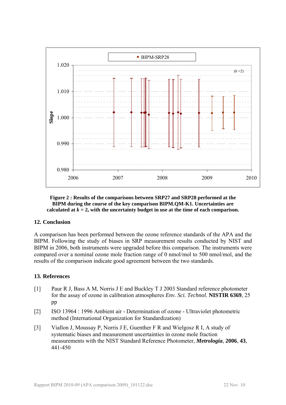



#### <span id="page-11-2"></span><span id="page-11-0"></span>**12. Conclusion**

A comparison has been performed between the ozone reference standards of the [APA](#page-1-0) and the BIPM. Following the study of biases in SRP measurement results conducted by NIST and BIPM in 2006, both instruments were upgraded before this comparison. The instruments were compared over a nominal ozone mole fraction range of 0 nmol/mol to 500 nmol/mol, and the results of the comparison indicate good agreement between the two standards.

#### <span id="page-11-1"></span>**13. References**

- [1] Paur R J, Bass A M, Norris J E and Buckley T J 2003 Standard reference photometer for the assay of ozone in calibration atmospheres *Env. Sci. Technol.* **NISTIR 6369**, 25 pp
- [2] ISO 13964 : 1996 Ambient air Determination of ozone Ultraviolet photometric method (International Organization for Standardization)
- [3] Viallon J, Moussay P, Norris J E, Guenther F R and Wielgosz R I, A study of systematic biases and measurement uncertainties in ozone mole fraction measurements with the NIST Standard Reference Photometer, *Metrologia,* **2006**, **43**, 441-450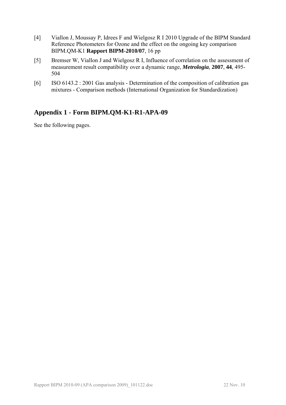- [4] Viallon J, Moussay P, Idrees F and Wielgosz R I 2010 Upgrade of the BIPM Standard Reference Photometers for Ozone and the effect on the ongoing key comparison BIPM.QM-K1 **Rapport BIPM-2010/07**, 16 pp
- [5] Bremser W, Viallon J and Wielgosz R I, Influence of correlation on the assessment of measurement result compatibility over a dynamic range, *Metrologia,* **2007**, **44**, 495- 504
- [6] ISO 6143.2 : 2001 Gas analysis Determination of the composition of calibration gas mixtures - Comparison methods (International Organization for Standardization)

# <span id="page-12-0"></span>**Appendix 1 - Form [BIPM.QM-K1-R1-APA-09](#page-4-4)**

See the following pages.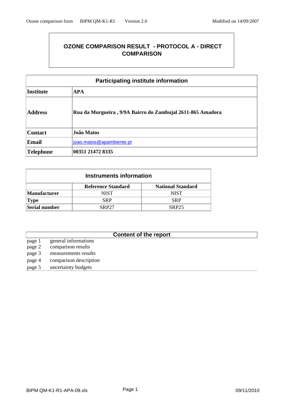## **OZONE COMPARISON RESULT - PROTOCOL A - DIRECT COMPARISON**

| <b>Participating institute information</b> |                                                            |  |  |  |  |  |
|--------------------------------------------|------------------------------------------------------------|--|--|--|--|--|
| <b>Institute</b><br><b>APA</b>             |                                                            |  |  |  |  |  |
| <b>Address</b>                             | Rua da Murgueira, 9/9A Bairro do Zambujal 2611-865 Amadora |  |  |  |  |  |
| <b>Contact</b>                             | João Matos                                                 |  |  |  |  |  |
| Email<br>joao.matos@apambiente.pt          |                                                            |  |  |  |  |  |
| Telephone                                  | 00351 21472 8335                                           |  |  |  |  |  |

| Instruments information                       |                                                       |             |  |  |  |  |  |
|-----------------------------------------------|-------------------------------------------------------|-------------|--|--|--|--|--|
|                                               | <b>Reference Standard</b><br><b>National Standard</b> |             |  |  |  |  |  |
| <b>Manufacturer</b>                           | NIST                                                  | <b>NIST</b> |  |  |  |  |  |
| $ {\rm Type}$                                 | <b>SRP</b>                                            | <b>SRP</b>  |  |  |  |  |  |
| Serial number<br><b>SRP27</b><br><b>SRP25</b> |                                                       |             |  |  |  |  |  |

## **Content of the report**

- page 1 general informations page 2 comparison results page 3 measurements results page 4 comparison description
- page 5 uncertainty budgets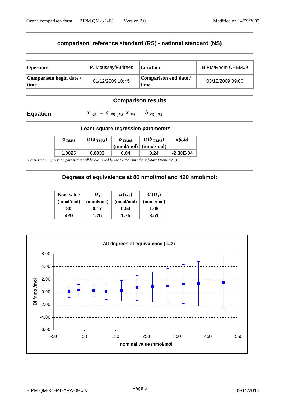## **comparison reference standard (RS) - national standard (NS)**

| <b>Operator</b>                  | P. Moussay/F.Idrees | Location                      | BIPM/Room CHEM09 |
|----------------------------------|---------------------|-------------------------------|------------------|
| Comparison begin date /<br> time | 01/12/2009 10:45    | Comparison end date /<br>time | 03/12/2009 09:00 |

#### **Comparison results**

#### **Equation**

 $x_{NS} = a_{NS,RS} x_{RS} + b_{NS,RS}$ 

#### **Least-square regression parameters**

| $a_{\text{TS,RS}}$ | $u$ (a <sub>TS,RS</sub> ) | $b_{\rm TS, RS}$<br>$(nmol/mol)$ $(nmol/mol)$ | $u(b_{\text{TS,RS}})$ | u(a,b)      |
|--------------------|---------------------------|-----------------------------------------------|-----------------------|-------------|
| 1.0025             | 0.0033                    | 0.04                                          | 0.24                  | $-2.38E-04$ |

*(Least-square regression parameters will be computed by the BIPM using the sofwtare OzonE v2.0)*

#### **Degrees of equivalence at 80 nmol/mol and 420 nmol/mol:**

| <b>Nom value</b> | $\boldsymbol{D}$ | $u(D_i)$   | $U(D_i)$   |
|------------------|------------------|------------|------------|
| (nmol/mol)       | (nmol/mol)       | (nmol/mol) | (nmol/mol) |
| 80               | 0.17             | 0.54       | 1.09       |
| 420              | 1.26             | 1.75       | 3.51       |

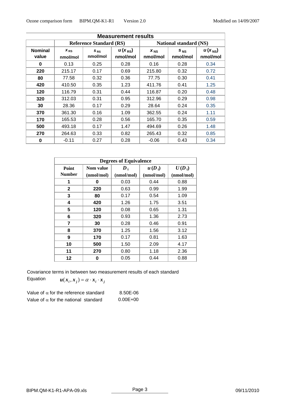|                         | <b>Measurement results</b>     |                      |                         |                               |                      |                                |  |  |
|-------------------------|--------------------------------|----------------------|-------------------------|-------------------------------|----------------------|--------------------------------|--|--|
|                         | <b>Reference Standard (RS)</b> |                      |                         | <b>National standard (NS)</b> |                      |                                |  |  |
| <b>Nominal</b><br>value | $X_{RS}$<br>nmol/mol           | $S_{RS}$<br>nmol/mol | $u(x_{RS})$<br>nmol/mol | $X_{NS}$<br>nmol/mol          | $S_{NS}$<br>nmol/mol | $u(x_{\text{NS}})$<br>nmol/mol |  |  |
| $\bf{0}$                | 0.13                           | 0.25                 | 0.28                    | 0.16                          | 0.28                 | 0.34                           |  |  |
| 220                     | 215.17                         | 0.17                 | 0.69                    | 215.80                        | 0.32                 | 0.72                           |  |  |
| 80                      | 77.58                          | 0.32                 | 0.36                    | 77.75                         | 0.30                 | 0.41                           |  |  |
| 420                     | 410.50                         | 0.35                 | 1.23                    | 411.76                        | 0.41                 | 1.25                           |  |  |
| 120                     | 116.79                         | 0.31                 | 0.44                    | 116.87                        | 0.20                 | 0.48                           |  |  |
| 320                     | 312.03                         | 0.31                 | 0.95                    | 312.96                        | 0.29                 | 0.98                           |  |  |
| 30                      | 28.36                          | 0.17                 | 0.29                    | 28.64                         | 0.24                 | 0.35                           |  |  |
| 370                     | 361.30                         | 0.16                 | 1.09                    | 362.55                        | 0.24                 | 1.11                           |  |  |
| 170                     | 165.53                         | 0.28                 | 0.56                    | 165.70                        | 0.35                 | 0.59                           |  |  |
| 500                     | 493.18                         | 0.17                 | 1.47                    | 494.69                        | 0.26                 | 1.48                           |  |  |
| 270                     | 264.63                         | 0.33                 | 0.82                    | 265.43                        | 0.32                 | 0.85                           |  |  |
| 0                       | $-0.11$                        | 0.27                 | 0.28                    | $-0.06$                       | 0.43                 | 0.34                           |  |  |

| <b>Degrees of Equivalence</b> |            |            |            |            |  |  |
|-------------------------------|------------|------------|------------|------------|--|--|
| Point                         | Nom value  |            | $u(D_i)$   | $U(D_i)$   |  |  |
| <b>Number</b>                 | (nmol/mol) | (nmol/mol) | (nmol/mol) | (nmol/mol) |  |  |
| 1                             | O          | 0.03       | 0.44       | 0.88       |  |  |
| $\mathbf{2}$                  | 220        | 0.63       | 0.99       | 1.99       |  |  |
| 3                             | 80         | 0.17       | 0.54       | 1.09       |  |  |
| 4                             | 420        | 1.26       | 1.75       | 3.51       |  |  |
| 5                             | 120        | 0.08       | 0.65       | 1.31       |  |  |
| 6                             | 320        | 0.93       | 1.36       | 2.73       |  |  |
| $\overline{7}$                | 30         | 0.28       | 0.46       | 0.91       |  |  |
| 8                             | 370        | 1.25       | 1.56       | 3.12       |  |  |
| 9                             | 170        | 0.17       | 0.81       | 1.63       |  |  |
| 10                            | 500        | 1.50       | 2.09       | 4.17       |  |  |
| 11                            | 270        | 0.80       | 1.18       | 2.36       |  |  |
| 12                            | n          | 0.05       | 0.44       | 0.88       |  |  |

Covariance terms in between two measurement results of each standard

Equation  $u(x_i, x_j) = \alpha \cdot x_i \cdot x_j$ 

| Value of $\alpha$ for the reference standard | 8.50E-06     |
|----------------------------------------------|--------------|
| Value of $\alpha$ for the national standard  | $0.00E + 00$ |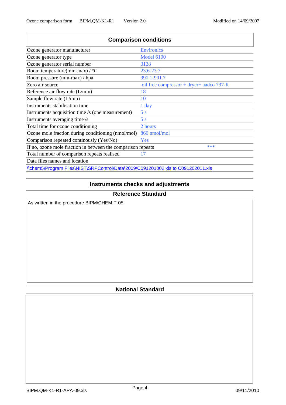| <b>Comparison conditions</b>                                                     |                                            |  |  |  |  |
|----------------------------------------------------------------------------------|--------------------------------------------|--|--|--|--|
| Ozone generator manufacturer                                                     | <b>Environics</b>                          |  |  |  |  |
| Ozone generator type                                                             | <b>Model 6100</b>                          |  |  |  |  |
| Ozone generator serial number                                                    | 3128                                       |  |  |  |  |
| Room temperature(min-max) / °C                                                   | 23.6-23.7                                  |  |  |  |  |
| Room pressure (min-max) / hpa                                                    | 991.1-991.7                                |  |  |  |  |
| Zero air source                                                                  | oil free compressor + dryer+ aadco $737-R$ |  |  |  |  |
| Reference air flow rate $(L/min)$                                                | 18                                         |  |  |  |  |
| Sample flow rate $(L/min)$                                                       | 10                                         |  |  |  |  |
| Instruments stabilisation time                                                   | 1 day                                      |  |  |  |  |
| Instruments acquisition time /s (one measurement)                                | 5s                                         |  |  |  |  |
| Instruments averaging time /s                                                    | 5s                                         |  |  |  |  |
| Total time for ozone conditioning                                                | 2 hours                                    |  |  |  |  |
| Ozone mole fraction during conditioning (nmol/mol)                               | 860 nmol/mol                               |  |  |  |  |
| Comparison repeated continously (Yes/No)                                         | Yes                                        |  |  |  |  |
| If no, ozone mole fraction in between the comparison repeats                     | ***                                        |  |  |  |  |
| Total number of comparison repeats realised                                      | 17                                         |  |  |  |  |
| Data files names and location                                                    |                                            |  |  |  |  |
| \\chem5\Program Files\NIST\SRPControl\Data\2009\C091201002.xls to C091202011.xls |                                            |  |  |  |  |

## **Instruments checks and adjustments**

### **Reference Standard**

As written in the procedure BIPM/CHEM-T-05

## **National Standard**